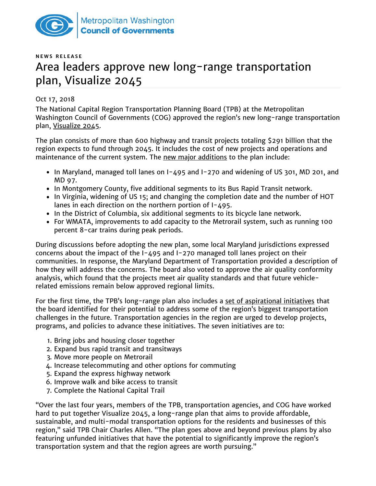

## **N E W S R E L E A S E** Area leaders approve new long-range transportation plan, Visualize 2045

## Oct 17, 2018

The National Capital Region Transportation Planning Board (TPB) at the Metropolitan Washington Council of Governments (COG) approved the region's new long-range transportation plan, [Visualize 2045.](https://www.mwcog.org/visualize2045/document-library/)

The plan consists of more than 600 highway and transit projects totaling \$291 billion that the region expects to fund through 2045. It includes the cost of new projects and operations and maintenance of the current system. The [new major additions](https://www.mwcog.org/visualize2045/new-and-major-projects-map/) to the plan include:

- $\bullet$  In Maryland, managed toll lanes on I-495 and I-270 and widening of US 301, MD 201, and MD 97.
- In Montgomery County, five additional segments to its Bus Rapid Transit network.
- In Virginia, widening of US 15; and changing the completion date and the number of HOT lanes in each direction on the northern portion of I-495.
- In the District of Columbia, six additional segments to its bicycle lane network.
- For WMATA, improvements to add capacity to the Metrorail system, such as running 100 percent 8-car trains during peak periods.

During discussions before adopting the new plan, some local Maryland jurisdictions expressed concerns about the impact of the I-495 and I-270 managed toll lanes project on their communities. In response, the Maryland Department of Transportation provided a description of how they will address the concerns. The board also voted to approve the air quality conformity analysis, which found that the projects meet air quality standards and that future vehiclerelated emissions remain below approved regional limits.

For the first time, the TPB's long-range plan also includes a [set of aspirational initiatives](http://mwcog.maps.arcgis.com/apps/Cascade/index.html?appid=debc2550777b4cc2bae2364c7712a151) that the board identified for their potential to address some of the region's biggest transportation challenges in the future. Transportation agencies in the region are urged to develop projects, programs, and policies to advance these initiatives. The seven initiatives are to:

- 1. Bring jobs and housing closer together
- 2. Expand bus rapid transit and transitways
- 3. Move more people on Metrorail
- 4. Increase telecommuting and other options for commuting
- 5. Expand the express highway network
- 6. Improve walk and bike access to transit
- 7. Complete the National Capital Trail

"Over the last four years, members of the TPB, transportation agencies, and COG have worked hard to put together Visualize 2045, a long-range plan that aims to provide affordable, sustainable, and multi-modal transportation options for the residents and businesses of this region," said TPB Chair Charles Allen. "The plan goes above and beyond previous plans by also featuring unfunded initiatives that have the potential to significantly improve the region's transportation system and that the region agrees are worth pursuing."